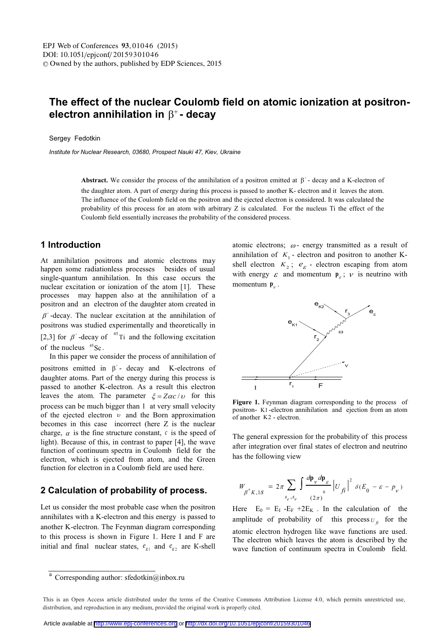## **The effect of the nuclear Coulomb field on atomic ionization at positron**electron annihilation in **B<sup>+</sup>** - decav

Sergey Fedotkin

*Institute for Nuclear Research, 03680, Prospect Nauki 47, Kiev, Ukraine* 

Abstract. We consider the process of the annihilation of a positron emitted at  $\beta^*$ - decay and a K-electron of the daughter atom. A part of energy during this process is passed to another K- electron and it leaves the atom. The influence of the Coulomb field on the positron and the ejected electron is considered. It was calculated the probability of this process for an atom with arbitrary Z is calculated. For the nucleus Ti the effect of the Coulomb field essentially increases the probability of the considered process.

## **1 Introduction**

At annihilation positrons and atomic electrons may happen some radiationless processes besides of usual single-quantum annihilation. In this case occurs the nuclear excitation or ionization of the atom [1]. These processes may happen also at the annihilation of a positron and an electron of the daughter atom created in  $\beta^*$ -decay. The nuclear excitation at the annihilation of positrons was studied experimentally and theoretically in [2,3] for  $\beta^*$ -decay of  $^{45}$ Ti and the following excitation of the nucleus  $45$ Sc.

 In this paper we consider the process of annihilation of positrons emitted in  $\beta^*$ - decay and K-electrons of daughter atoms. Part of the energy during this process is passed to another K-electron. As a result this electron leaves the atom. The parameter  $\xi = Z\alpha c/v$  for this process can be much bigger than 1 at very small velocity of the ejected electron  $\nu$  and the Born approximation becomes in this case incorrect (here Z is the nuclear charge,  $\alpha$  is the fine structure constant,  $\alpha$  is the speed of light). Because of this, in contrast to paper [4], the wave function of continuum spectra in Coulomb field for the electron, which is ejected from atom, and the Green function for electron in a Coulomb field are used here.

## **2 Calculation of probability of process.**

Let us consider the most probable case when the positron annihilates with a K-electron and this energy is passed to another K-electron. The Feynman diagram corresponding to this process is shown in Figure 1. Here I and F are initial and final nuclear states,  $e_{K1}$  and  $e_{K2}$  are K-shell atomic electrons;  $\omega$ - energy transmitted as a result of annihilation of  $K<sub>1</sub>$  - electron and positron to another Kshell electron  $K_2$ ;  $e_{\varepsilon}$  - electron escaping from atom with energy  $\varepsilon$  and momentum  $\mathbf{p}_{\varepsilon}$ ;  $\nu$  is neutrino with momentum  $\mathbf{p}_{v}$ .



**Figure 1.** Feynman diagram corresponding to the process of positron- K1 -electron annihilation and ejection from an atom of another K2 - electron.

The general expression for the probability of this process after integration over final states of electron and neutrino has the following view

$$
W_{\beta^+K,1S} = 2\pi \sum_{s_e,s_v} \int \frac{d\mathbf{p}_v d\mathbf{p}_\varepsilon}{\int_0^6} |U_{f\hat{i}}|^2 \delta(E_0 - \varepsilon - p_v)
$$

Here  $E_0 = E_I - E_F + 2E_K$ . In the calculation of the amplitude of probability of this process  $U_f$  for the atomic electron hydrogen like wave functions are used. The electron which leaves the atom is described by the wave function of continuum spectra in Coulomb field.

 $\overline{a}$  Corresponding author: sfedotkin@inbox.ru

This is an Open Access article distributed under the terms of the Creative Commons Attribution License 4.0, which permits unrestricted use. distribution, and reproduction in any medium, provided the original work is properly cited.